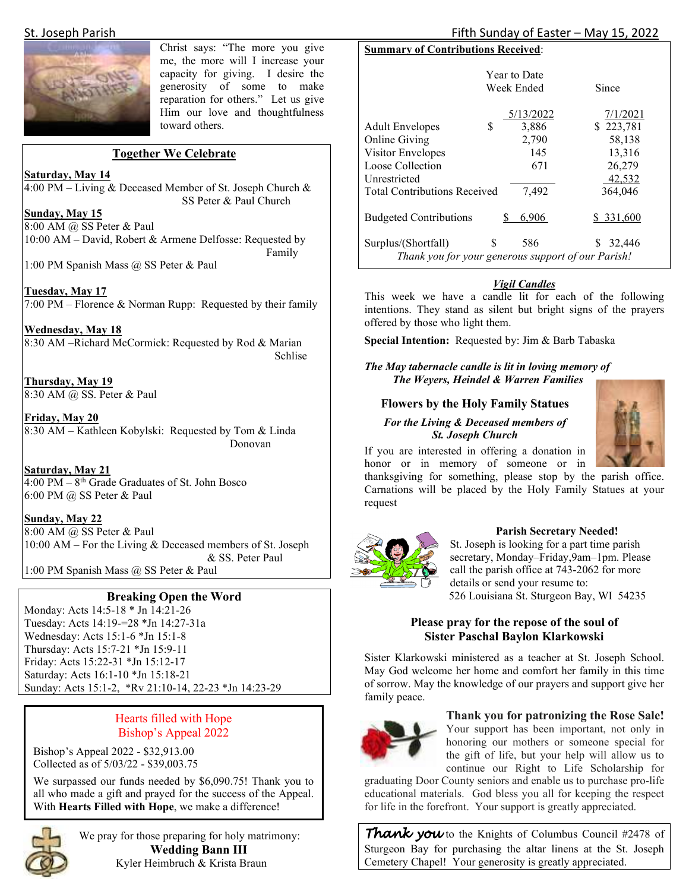

Christ says: "The more you give me, the more will I increase your capacity for giving. I desire the generosity of some to make reparation for others." Let us give Him our love and thoughtfulness toward others.

#### **Together We Celebrate**

**Saturday, May 14** 

4:00 PM – Living & Deceased Member of St. Joseph Church & SS Peter & Paul Church

**Sunday, May 15** 

8:00 AM @ SS Peter & Paul 10:00 AM – David, Robert & Armene Delfosse: Requested by Family

1:00 PM Spanish Mass @ SS Peter & Paul

**Tuesday, May 17**  7:00 PM – Florence & Norman Rupp: Requested by their family

**Wednesday, May 18**  8:30 AM –Richard McCormick: Requested by Rod & Marian Schlise Schlise

**Thursday, May 19**  8:30 AM @ SS. Peter & Paul

**Friday, May 20**  8:30 AM – Kathleen Kobylski: Requested by Tom & Linda Donovan

**Saturday, May 21**   $\overline{4:00 \text{ PM} - 8$ <sup>th</sup> Grade Graduates of St. John Bosco 6:00 PM @ SS Peter & Paul

**Sunday, May 22** 

8:00 AM @ SS Peter & Paul 10:00 AM – For the Living & Deceased members of St. Joseph & SS. Peter Paul 1:00 PM Spanish Mass @ SS Peter & Paul

#### **Breaking Open the Word**

Monday: Acts 14:5-18 \* Jn 14:21-26 Tuesday: Acts 14:19-=28 \*Jn 14:27-31a Wednesday: Acts 15:1-6 \*Jn 15:1-8 Thursday: Acts 15:7-21 \*Jn 15:9-11 Friday: Acts 15:22-31 \*Jn 15:12-17 Saturday: Acts 16:1-10 \*Jn 15:18-21 Sunday: Acts 15:1-2, \*Rv 21:10-14, 22-23 \*Jn 14:23-29

#### Hearts filled with Hope Bishop's Appeal 2022

Bishop's Appeal 2022 - \$32,913.00 Collected as of 5/03/22 - \$39,003.75

We surpassed our funds needed by \$6,090.75! Thank you to all who made a gift and prayed for the success of the Appeal. With **Hearts Filled with Hope**, we make a difference!



We pray for those preparing for holy matrimony:  **Wedding Bann III**  Kyler Heimbruch & Krista Braun

### St. Joseph Parish Fifth Sunday of Easter – May 15, 2022

### **Summary of Contributions Received**:

| <b>Year to Date</b>                                |            |           |            |
|----------------------------------------------------|------------|-----------|------------|
|                                                    | Week Ended |           | Since      |
|                                                    |            |           |            |
|                                                    |            | 5/13/2022 | 7/1/2021   |
| <b>Adult Envelopes</b>                             | S          | 3,886     | \$223,781  |
| <b>Online Giving</b>                               |            | 2,790     | 58,138     |
| Visitor Envelopes                                  |            | 145       | 13,316     |
| Loose Collection                                   |            | 671       | 26,279     |
| Unrestricted                                       |            |           | 42,532     |
| <b>Total Contributions Received</b>                |            | 7.492     | 364,046    |
|                                                    |            |           |            |
| <b>Budgeted Contributions</b>                      | S          | 6,906     | \$ 331,600 |
| Surplus/(Shortfall)                                | S          | 586       | 32,446     |
| Thank you for your generous support of our Parish! |            |           |            |

#### *Vigil Candles*

This week we have a candle lit for each of the following intentions. They stand as silent but bright signs of the prayers offered by those who light them.

**Special Intention:** Requested by: Jim & Barb Tabaska

*The May tabernacle candle is lit in loving memory of The Weyers, Heindel & Warren Families* 

#### **Flowers by the Holy Family Statues**

#### *For the Living & Deceased members of St. Joseph Church*

If you are interested in offering a donation in honor or in memory of someone or in

thanksgiving for something, please stop by the parish office. Carnations will be placed by the Holy Family Statues at your request



#### **Parish Secretary Needed!**

St. Joseph is looking for a part time parish secretary, Monday–Friday,9am–1pm. Please call the parish office at 743-2062 for more details or send your resume to: 526 Louisiana St. Sturgeon Bay, WI 54235

#### **Please pray for the repose of the soul of Sister Paschal Baylon Klarkowski**

Sister Klarkowski ministered as a teacher at St. Joseph School. May God welcome her home and comfort her family in this time of sorrow. May the knowledge of our prayers and support give her family peace.



**Thank you for patronizing the Rose Sale!**  Your support has been important, not only in honoring our mothers or someone special for the gift of life, but your help will allow us to continue our Right to Life Scholarship for

graduating Door County seniors and enable us to purchase pro-life educational materials. God bless you all for keeping the respect for life in the forefront. Your support is greatly appreciated.

**Thank you** to the Knights of Columbus Council #2478 of Sturgeon Bay for purchasing the altar linens at the St. Joseph Cemetery Chapel! Your generosity is greatly appreciated.

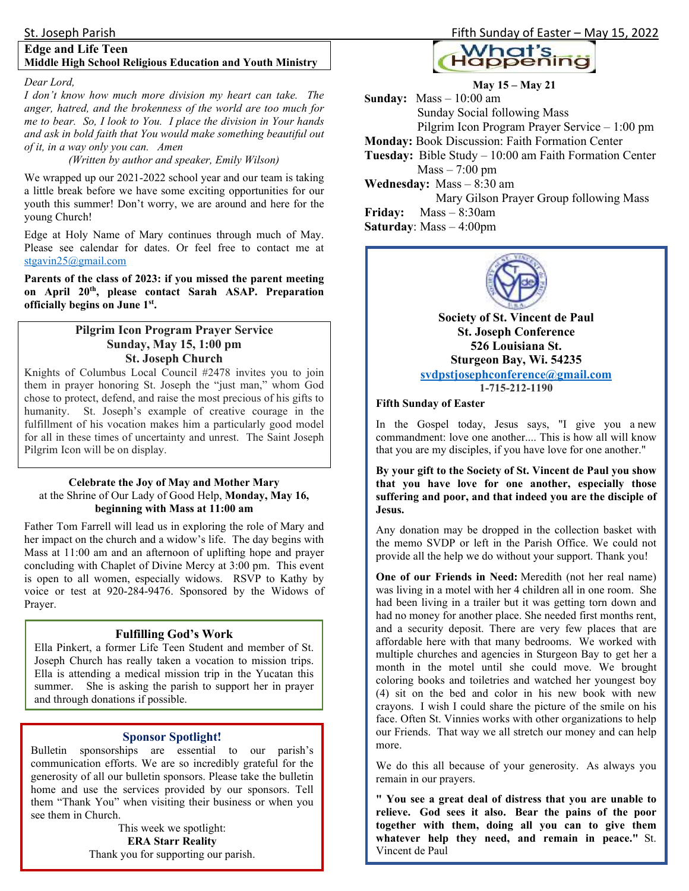#### **Edge and Life Teen Middle High School Religious Education and Youth Ministry**

#### *Dear Lord,*

*I don't know how much more division my heart can take. The anger, hatred, and the brokenness of the world are too much for me to bear. So, I look to You. I place the division in Your hands and ask in bold faith that You would make something beautiful out of it, in a way only you can. Amen* 

#### *(Written by author and speaker, Emily Wilson)*

We wrapped up our 2021-2022 school year and our team is taking a little break before we have some exciting opportunities for our youth this summer! Don't worry, we are around and here for the young Church!

Edge at Holy Name of Mary continues through much of May. Please see calendar for dates. Or feel free to contact me at stgavin25@gmail.com

**Parents of the class of 2023: if you missed the parent meeting on April 20th, please contact Sarah ASAP. Preparation officially begins on June 1st .** 

#### **Pilgrim Icon Program Prayer Service Sunday, May 15, 1:00 pm St. Joseph Church**

Knights of Columbus Local Council #2478 invites you to join them in prayer honoring St. Joseph the "just man," whom God chose to protect, defend, and raise the most precious of his gifts to humanity. St. Joseph's example of creative courage in the fulfillment of his vocation makes him a particularly good model for all in these times of uncertainty and unrest. The Saint Joseph Pilgrim Icon will be on display.

#### **Celebrate the Joy of May and Mother Mary**  at the Shrine of Our Lady of Good Help, **Monday, May 16, beginning with Mass at 11:00 am**

Father Tom Farrell will lead us in exploring the role of Mary and her impact on the church and a widow's life. The day begins with Mass at 11:00 am and an afternoon of uplifting hope and prayer concluding with Chaplet of Divine Mercy at 3:00 pm. This event is open to all women, especially widows. RSVP to Kathy by voice or test at 920-284-9476. Sponsored by the Widows of Prayer.

#### **Fulfilling God's Work**

Ella Pinkert, a former Life Teen Student and member of St. Joseph Church has really taken a vocation to mission trips. Ella is attending a medical mission trip in the Yucatan this summer. She is asking the parish to support her in prayer and through donations if possible.

#### **Sponsor Spotlight!**

Bulletin sponsorships are essential to our parish's communication efforts. We are so incredibly grateful for the generosity of all our bulletin sponsors. Please take the bulletin home and use the services provided by our sponsors. Tell them "Thank You" when visiting their business or when you see them in Church.

> This week we spotlight: **ERA Starr Reality** Thank you for supporting our parish.

#### St. Joseph Parish Fifth Sunday of Easter – May 15, 2022



**May 15 – May 21 Sunday:** Mass – 10:00 am Sunday Social following Mass Pilgrim Icon Program Prayer Service – 1:00 pm **Monday:** Book Discussion: Faith Formation Center **Tuesday:** Bible Study – 10:00 am Faith Formation Center  $Mass - 7:00$  pm **Wednesday:** Mass – 8:30 am Mary Gilson Prayer Group following Mass **Friday:** Mass – 8:30am **Saturday**: Mass – 4:00pm



**Society of St. Vincent de Paul St. Joseph Conference 526 Louisiana St. Sturgeon Bay, Wi. 54235 svdpstjosephconference@gmail.com 1-715-212-1190**

#### **Fifth Sunday of Easter**

In the Gospel today, Jesus says, "I give you a new commandment: love one another.... This is how all will know that you are my disciples, if you have love for one another."

**By your gift to the Society of St. Vincent de Paul you show that you have love for one another, especially those suffering and poor, and that indeed you are the disciple of Jesus.**

Any donation may be dropped in the collection basket with the memo SVDP or left in the Parish Office. We could not provide all the help we do without your support. Thank you!

**One of our Friends in Need:** Meredith (not her real name) was living in a motel with her 4 children all in one room. She had been living in a trailer but it was getting torn down and had no money for another place. She needed first months rent, and a security deposit. There are very few places that are affordable here with that many bedrooms. We worked with multiple churches and agencies in Sturgeon Bay to get her a month in the motel until she could move. We brought coloring books and toiletries and watched her youngest boy (4) sit on the bed and color in his new book with new crayons. I wish I could share the picture of the smile on his face. Often St. Vinnies works with other organizations to help our Friends. That way we all stretch our money and can help more.

We do this all because of your generosity. As always you remain in our prayers.

**" You see a great deal of distress that you are unable to relieve. God sees it also. Bear the pains of the poor together with them, doing all you can to give them whatever help they need, and remain in peace."** St. Vincent de Paul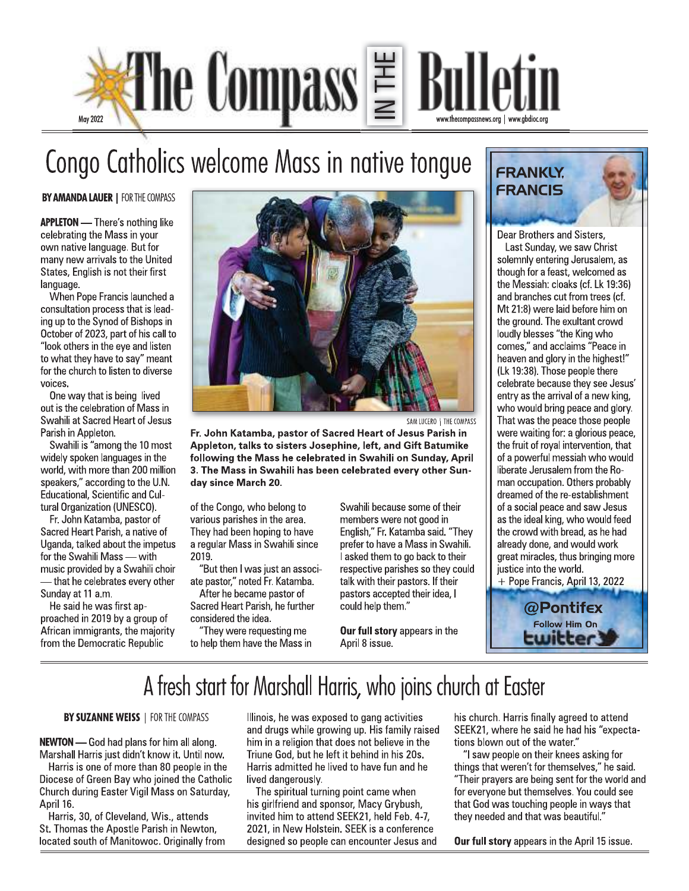

### Congo Catholics welcome Mass in native tongue

**BY AMANDA LAUER | FOR THE COMPASS** 

**APPLETON** - There's nothing like celebrating the Mass in your own native language. But for many new arrivals to the United States, English is not their first language.

When Pope Francis launched a consultation process that is leading up to the Synod of Bishops in October of 2023, part of his call to "look others in the eye and listen to what they have to say" meant for the church to listen to diverse voices.

One way that is being lived out is the celebration of Mass in Swahili at Sacred Heart of Jesus Parish in Appleton.

Swahili is "among the 10 most widely spoken languages in the world, with more than 200 million speakers," according to the U.N. Educational, Scientific and Cultural Organization (UNESCO).

Fr. John Katamba, pastor of Sacred Heart Parish, a native of Uganda, talked about the impetus for the Swahili Mass - with music provided by a Swahili choir - that he celebrates every other Sunday at 11 a.m.

He said he was first approached in 2019 by a group of African immigrants, the majority from the Democratic Republic



SAM LUCERO | THE COMPASS

Fr. John Katamba, pastor of Sacred Heart of Jesus Parish in Appleton, talks to sisters Josephine, left, and Gift Batumike following the Mass he celebrated in Swahili on Sunday, April 3. The Mass in Swahili has been celebrated every other Sunday since March 20.

of the Congo, who belong to various parishes in the area. They had been hoping to have a regular Mass in Swahili since 2019.

"But then I was just an associate pastor," noted Fr. Katamba. After he became pastor of

Sacred Heart Parish, he further considered the idea. "They were requesting me

to help them have the Mass in

Swahili because some of their members were not good in English," Fr. Katamba said. "They prefer to have a Mass in Swahili. I asked them to go back to their respective parishes so they could talk with their pastors. If their pastors accepted their idea, I could help them."

Our full story appears in the April 8 issue.

**FRANKLY. FRANCIS** 

Dear Brothers and Sisters,

Last Sunday, we saw Christ solemnly entering Jerusalem, as though for a feast, welcomed as the Messiah: cloaks (cf. Lk 19:36) and branches cut from trees (cf. Mt 21:8) were laid before him on the ground. The exultant crowd loudly blesses "the King who comes," and acclaims "Peace in heaven and glory in the highest!" (Lk 19:38). Those people there celebrate because they see Jesus' entry as the arrival of a new king, who would bring peace and glory. That was the peace those people were waiting for: a glorious peace, the fruit of royal intervention, that of a powerful messiah who would liberate Jerusalem from the Roman occupation. Others probably dreamed of the re-establishment of a social peace and saw Jesus as the ideal king, who would feed the crowd with bread, as he had already done, and would work great miracles, thus bringing more justice into the world.

+ Pope Francis, April 13, 2022

@Pontifex Follow Him On

### A fresh start for Marshall Harris, who joins church at Easter

BY SUZANNE WEISS | FOR THE COMPASS

**NEWTON** - God had plans for him all along. Marshall Harris just didn't know it. Until now.

Harris is one of more than 80 people in the Diocese of Green Bay who joined the Catholic Church during Easter Vigil Mass on Saturday, April 16.

Harris, 30, of Cleveland, Wis., attends St. Thomas the Apostle Parish in Newton, located south of Manitowoc. Originally from

Illinois, he was exposed to gang activities and drugs while growing up. His family raised him in a religion that does not believe in the Triune God, but he left it behind in his 20s. Harris admitted he lived to have fun and he lived dangerously.

The spiritual turning point came when his girlfriend and sponsor, Macy Grybush, invited him to attend SEEK21, held Feb. 4-7, 2021, in New Holstein. SEEK is a conference designed so people can encounter Jesus and his church. Harris finally agreed to attend SEEK21, where he said he had his "expectations blown out of the water."

"I saw people on their knees asking for things that weren't for themselves," he said. "Their prayers are being sent for the world and for everyone but themselves. You could see that God was touching people in ways that they needed and that was beautiful."

Our full story appears in the April 15 issue.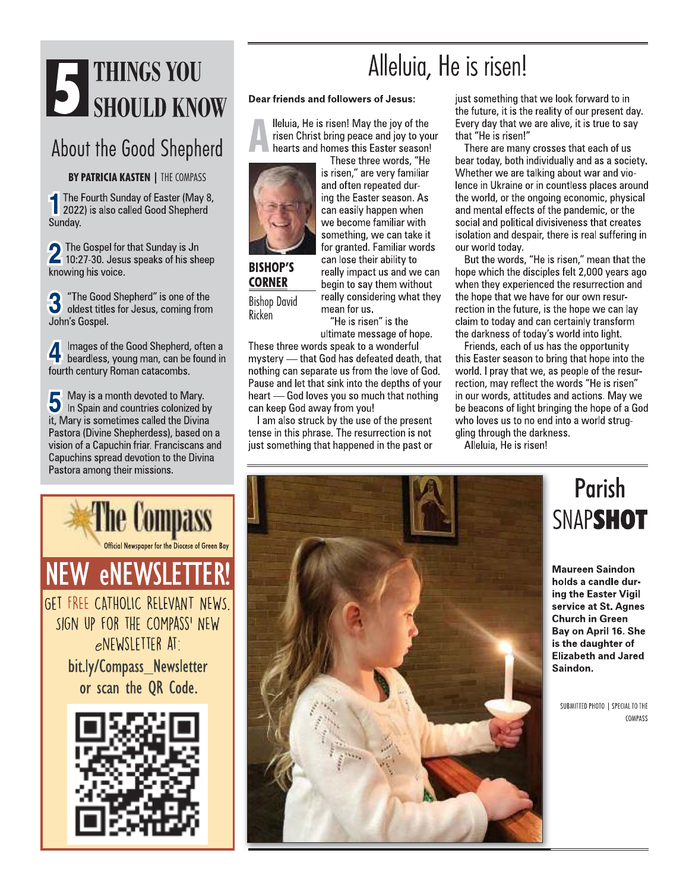# STRINGS YOU

### About the Good Shepherd

**BY PATRICIA KASTEN | THE COMPASS** 

The Fourth Sunday of Easter (May 8, 2022) is also called Good Shepherd Sunday.

2 The Gospel for that Sunday is Jn<br>2 10:27-30. Jesus speaks of his sheep knowing his voice.

"The Good Shepherd" is one of the 3 oldest titles for Jesus, coming from John's Gospel.

Images of the Good Shepherd, often a 4 beardless, young man, can be found in fourth century Roman catacombs.

May is a month devoted to Iviary.<br>
In Spain and countries colonized by May is a month devoted to Mary. it, Mary is sometimes called the Divina Pastora (Divine Shepherdess), based on a vision of a Capuchin friar. Franciscans and Capuchins spread devotion to the Divina Pastora among their missions.



**NEW eNEWSLETTER** GET FREE CATHOLIC RELEVANT NEWS. SIGN UP FOR THE COMPASS' NEW eNEWSLETTER AT: bit.ly/Compass\_Newsletter or scan the QR Code.



### Alleluia, He is risen!

#### Dear friends and followers of Jesus:

Ileluia, He is risen! May the joy of the risen Christ bring peace and joy to your hearts and homes this Easter season!



**BISHOP'S CORNER Bishop David** Ricken

can easily happen when we become familiar with something, we can take it for granted. Familiar words can lose their ability to really impact us and we can begin to say them without really considering what they

These three words, "He

mean for us. "He is risen" is the

ultimate message of hope.

These three words speak to a wonderful mystery - that God has defeated death, that nothing can separate us from the love of God. Pause and let that sink into the depths of your heart - God loves you so much that nothing can keep God away from you!

I am also struck by the use of the present tense in this phrase. The resurrection is not just something that happened in the past or just something that we look forward to in the future, it is the reality of our present day. Every day that we are alive, it is true to say that "He is risen!"

There are many crosses that each of us bear today, both individually and as a society. Whether we are talking about war and violence in Ukraine or in countless places around the world, or the ongoing economic, physical and mental effects of the pandemic, or the social and political divisiveness that creates isolation and despair, there is real suffering in our world today.

But the words, "He is risen," mean that the hope which the disciples felt 2,000 years ago when they experienced the resurrection and the hope that we have for our own resurrection in the future, is the hope we can lay claim to today and can certainly transform the darkness of today's world into light.

Friends, each of us has the opportunity this Easter season to bring that hope into the world. I pray that we, as people of the resurrection, may reflect the words "He is risen" in our words, attitudes and actions. May we be beacons of light bringing the hope of a God who loves us to no end into a world struggling through the darkness.

Alleluia, He is risen!



### **Parish** SNAPSHOT

**Maureen Saindon** holds a candle during the Easter Vigil service at St. Agnes **Church in Green** Bay on April 16. She is the daughter of **Elizabeth and Jared** Saindon.

SUBMITTED PHOTO | SPECIAL TO THE COMPASS